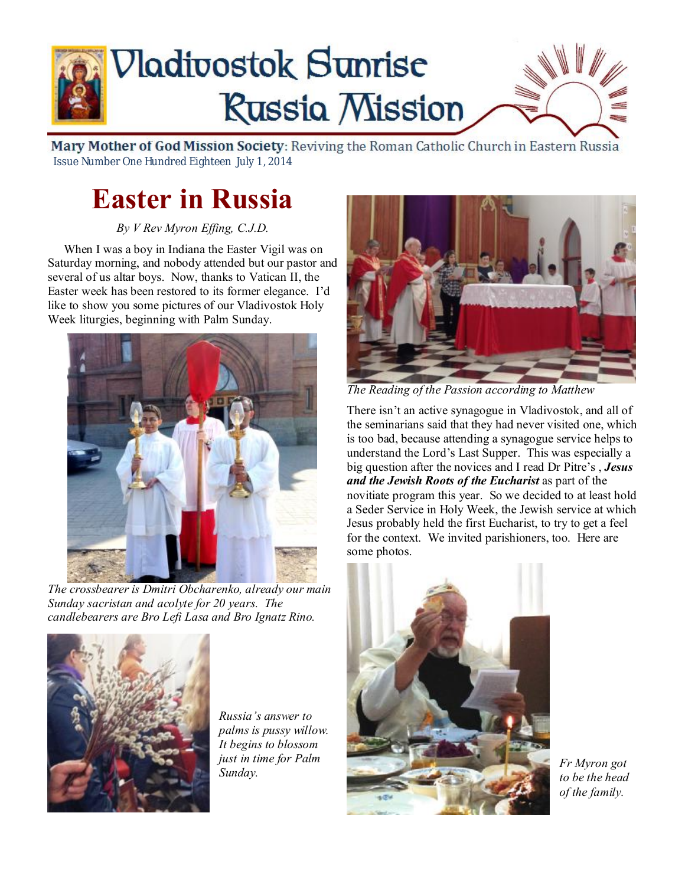

Mary Mother of God Mission Society: Reviving the Roman Catholic Church in Eastern Russia Issue Number One Hundred Eighteen July 1, 2014

# **Easter in Russia**

*By V Rev Myron Effing, C.J.D.* 

 When I was a boy in Indiana the Easter Vigil was on Saturday morning, and nobody attended but our pastor and several of us altar boys. Now, thanks to Vatican II, the Easter week has been restored to its former elegance. I'd like to show you some pictures of our Vladivostok Holy Week liturgies, beginning with Palm Sunday.



*The crossbearer is Dmitri Obcharenko, already our main Sunday sacristan and acolyte for 20 years. The candlebearers are Bro Lefi Lasa and Bro Ignatz Rino.* 



*Russia's answer to palms is pussy willow. It begins to blossom just in time for Palm Sunday.* 



*The Reading of the Passion according to Matthew* 

There isn't an active synagogue in Vladivostok, and all of the seminarians said that they had never visited one, which is too bad, because attending a synagogue service helps to understand the Lord's Last Supper. This was especially a big question after the novices and I read Dr Pitre's , *Jesus and the Jewish Roots of the Eucharist* as part of the novitiate program this year. So we decided to at least hold a Seder Service in Holy Week, the Jewish service at which Jesus probably held the first Eucharist, to try to get a feel for the context. We invited parishioners, too. Here are some photos.



*Fr Myron got to be the head of the family.*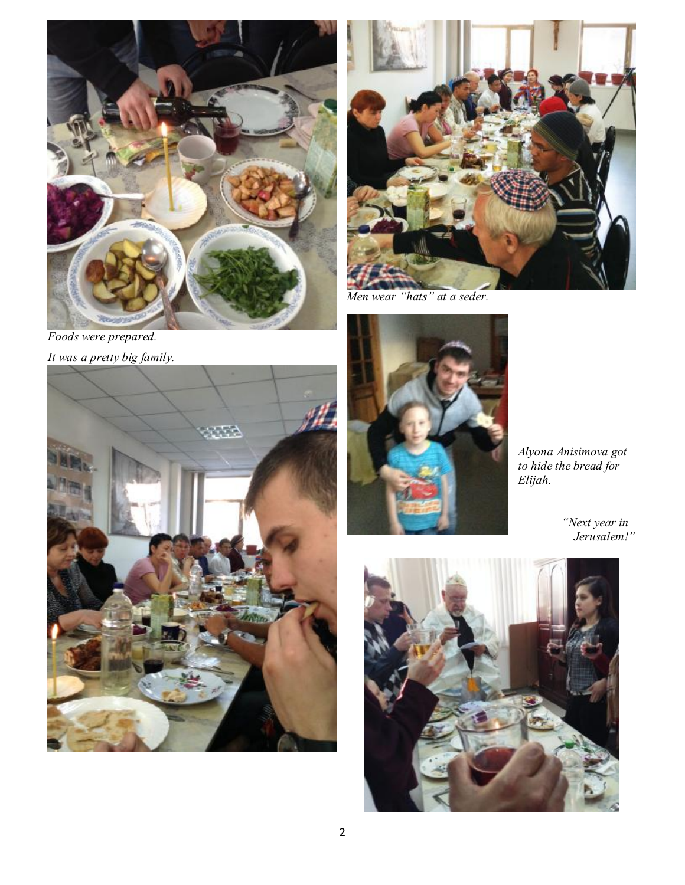

*Foods were prepared. It was a pretty big family.* 





*Men wear "hats" at a seder.* 



*Alyona Anisimova got to hide the bread for Elijah.* 

 *"Next year in Jerusalem!"* 

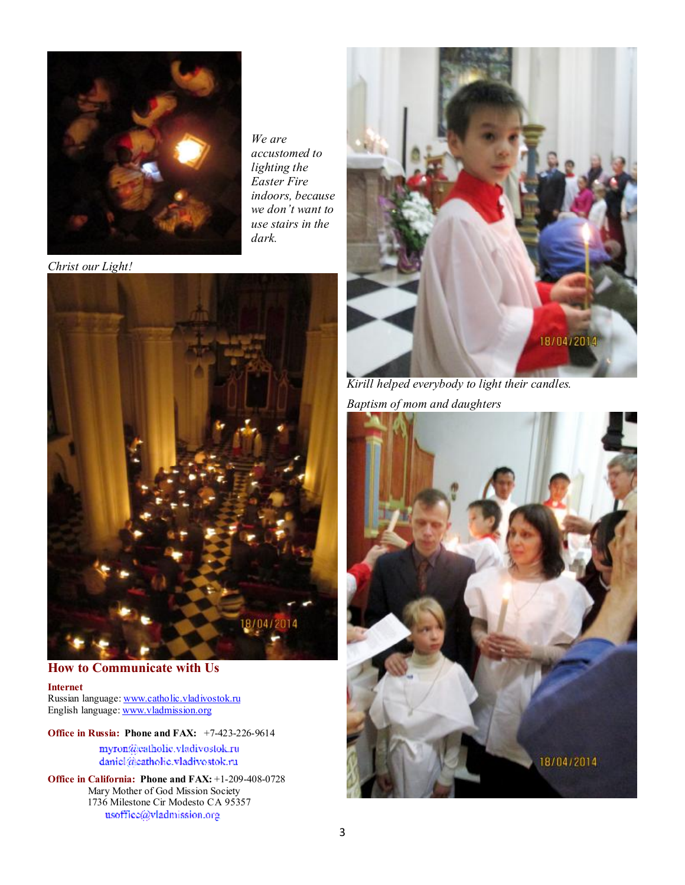

*We are accustomed to lighting the Easter Fire indoors, because we don't want to use stairs in the dark.* 

*Christ our Light!* 



**How to Communicate with Us** 

**Internet** Russian language: [www.catholic.vladivostok.ru](http://www.catholic.vladivostok.ru) English language: [www.vladmission.org](http://www.vladmission.org)

**Office in Russia: Phone and FAX:** +7-423-226-9614

myron@eatholic.vladivostok.ru daniel@eatholic.vladivostok.ru

**Office in California: Phone and FAX:** +1-209-408-0728 Mary Mother of God Mission Society 1736 Milestone Cir Modesto CA 95357 usoffice@vladmission.org



*Kirill helped everybody to light their candles. Baptism of mom and daughters* 

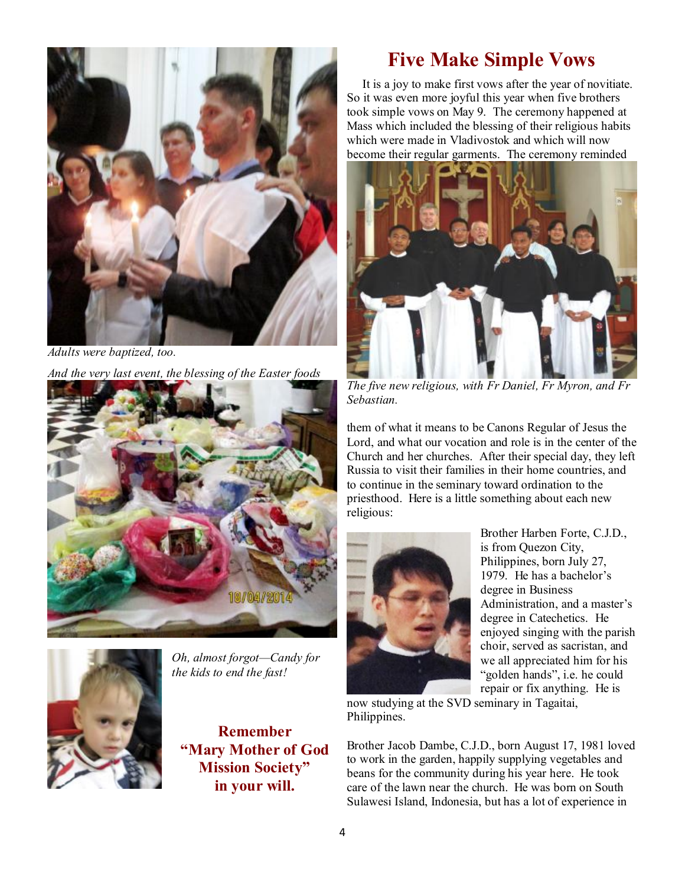

*Adults were baptized, too.* 

*And the very last event, the blessing of the Easter foods* 





*Oh, almost forgot—Candy for the kids to end the fast!* 

**Remember "Mary Mother of God Mission Society" in your will.** 

### **Five Make Simple Vows**

 It is a joy to make first vows after the year of novitiate. So it was even more joyful this year when five brothers took simple vows on May 9. The ceremony happened at Mass which included the blessing of their religious habits which were made in Vladivostok and which will now become their regular garments. The ceremony reminded



*The five new religious, with Fr Daniel, Fr Myron, and Fr Sebastian.* 

them of what it means to be Canons Regular of Jesus the Lord, and what our vocation and role is in the center of the Church and her churches. After their special day, they left Russia to visit their families in their home countries, and to continue in the seminary toward ordination to the priesthood. Here is a little something about each new religious:



Brother Harben Forte, C.J.D., is from Quezon City, Philippines, born July 27, 1979. He has a bachelor's degree in Business Administration, and a master's degree in Catechetics. He enjoyed singing with the parish choir, served as sacristan, and we all appreciated him for his "golden hands", i.e. he could repair or fix anything. He is

now studying at the SVD seminary in Tagaitai, Philippines.

Brother Jacob Dambe, C.J.D., born August 17, 1981 loved to work in the garden, happily supplying vegetables and beans for the community during his year here. He took care of the lawn near the church. He was born on South Sulawesi Island, Indonesia, but has a lot of experience in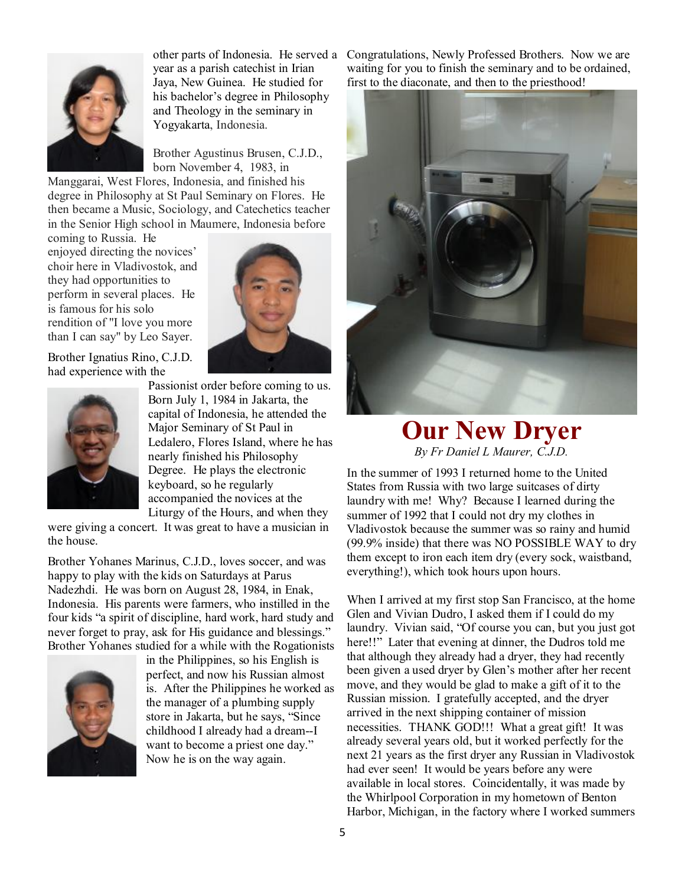

year as a parish catechist in Irian Jaya, New Guinea. He studied for his bachelor's degree in Philosophy and Theology in the seminary in Yogyakarta, Indonesia.

Brother Agustinus Brusen, C.J.D., born November 4, 1983, in

Manggarai, West Flores, Indonesia, and finished his degree in Philosophy at St Paul Seminary on Flores. He then became a Music, Sociology, and Catechetics teacher in the Senior High school in Maumere, Indonesia before

coming to Russia. He enjoyed directing the novices' choir here in Vladivostok, and they had opportunities to perform in several places. He is famous for his solo rendition of "I love you more than I can say" by Leo Sayer.



Brother Ignatius Rino, C.J.D. had experience with the



Passionist order before coming to us. Born July 1, 1984 in Jakarta, the capital of Indonesia, he attended the Major Seminary of St Paul in Ledalero, Flores Island, where he has nearly finished his Philosophy Degree. He plays the electronic keyboard, so he regularly accompanied the novices at the Liturgy of the Hours, and when they

were giving a concert. It was great to have a musician in the house.

Brother Yohanes Marinus, C.J.D., loves soccer, and was happy to play with the kids on Saturdays at Parus Nadezhdi. He was born on August 28, 1984, in Enak, Indonesia. His parents were farmers, who instilled in the four kids "a spirit of discipline, hard work, hard study and never forget to pray, ask for His guidance and blessings." Brother Yohanes studied for a while with the Rogationists



in the Philippines, so his English is perfect, and now his Russian almost is. After the Philippines he worked as the manager of a plumbing supply store in Jakarta, but he says, "Since childhood I already had a dream--I want to become a priest one day." Now he is on the way again.

other parts of Indonesia. He served a Congratulations, Newly Professed Brothers. Now we are waiting for you to finish the seminary and to be ordained, first to the diaconate, and then to the priesthood!



### **Our New Dryer**  *By Fr Daniel L Maurer, C.J.D.*

In the summer of 1993 I returned home to the United States from Russia with two large suitcases of dirty laundry with me! Why? Because I learned during the summer of 1992 that I could not dry my clothes in Vladivostok because the summer was so rainy and humid (99.9% inside) that there was NO POSSIBLE WAY to dry them except to iron each item dry (every sock, waistband, everything!), which took hours upon hours.

When I arrived at my first stop San Francisco, at the home Glen and Vivian Dudro, I asked them if I could do my laundry. Vivian said, "Of course you can, but you just got here!!" Later that evening at dinner, the Dudros told me that although they already had a dryer, they had recently been given a used dryer by Glen's mother after her recent move, and they would be glad to make a gift of it to the Russian mission. I gratefully accepted, and the dryer arrived in the next shipping container of mission necessities. THANK GOD!!! What a great gift! It was already several years old, but it worked perfectly for the next 21 years as the first dryer any Russian in Vladivostok had ever seen! It would be years before any were available in local stores. Coincidentally, it was made by the Whirlpool Corporation in my hometown of Benton Harbor, Michigan, in the factory where I worked summers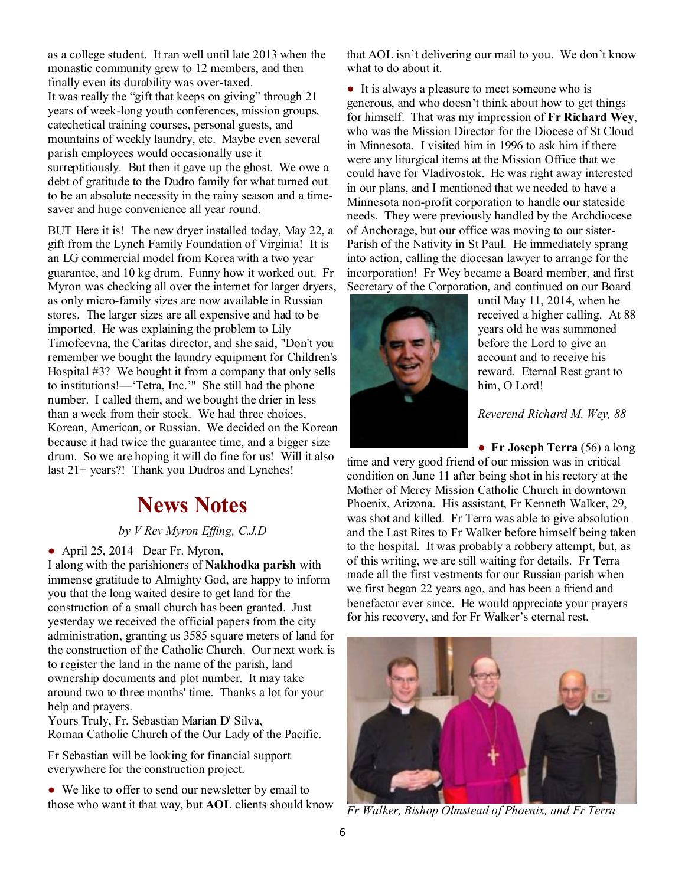as a college student. It ran well until late 2013 when the monastic community grew to 12 members, and then finally even its durability was over-taxed. It was really the "gift that keeps on giving" through 21 years of week-long youth conferences, mission groups, catechetical training courses, personal guests, and mountains of weekly laundry, etc. Maybe even several parish employees would occasionally use it surreptitiously. But then it gave up the ghost. We owe a debt of gratitude to the Dudro family for what turned out to be an absolute necessity in the rainy season and a timesaver and huge convenience all year round.

BUT Here it is! The new dryer installed today, May 22, a gift from the Lynch Family Foundation of Virginia! It is an LG commercial model from Korea with a two year guarantee, and 10 kg drum. Funny how it worked out. Fr Myron was checking all over the internet for larger dryers, as only micro-family sizes are now available in Russian stores. The larger sizes are all expensive and had to be imported. He was explaining the problem to Lily Timofeevna, the Caritas director, and she said, "Don't you remember we bought the laundry equipment for Children's Hospital #3? We bought it from a company that only sells to institutions!—'Tetra, Inc.'" She still had the phone number. I called them, and we bought the drier in less than a week from their stock. We had three choices, Korean, American, or Russian. We decided on the Korean because it had twice the guarantee time, and a bigger size drum. So we are hoping it will do fine for us! Will it also last 21+ years?! Thank you Dudros and Lynches!

### **News Notes**

#### *by V Rev Myron Effing, C.J.D*

• April 25, 2014 Dear Fr. Myron,

I along with the parishioners of **Nakhodka parish** with immense gratitude to Almighty God, are happy to inform you that the long waited desire to get land for the construction of a small church has been granted. Just yesterday we received the official papers from the city administration, granting us 3585 square meters of land for the construction of the Catholic Church. Our next work is to register the land in the name of the parish, land ownership documents and plot number. It may take around two to three months' time. Thanks a lot for your help and prayers.

Yours Truly, Fr. Sebastian Marian D' Silva, Roman Catholic Church of the Our Lady of the Pacific.

Fr Sebastian will be looking for financial support everywhere for the construction project.

• We like to offer to send our newsletter by email to those who want it that way, but **AOL** clients should know that AOL isn't delivering our mail to you. We don't know what to do about it.

● It is always a pleasure to meet someone who is generous, and who doesn't think about how to get things for himself. That was my impression of **Fr Richard Wey**, who was the Mission Director for the Diocese of St Cloud in Minnesota. I visited him in 1996 to ask him if there were any liturgical items at the Mission Office that we could have for Vladivostok. He was right away interested in our plans, and I mentioned that we needed to have a Minnesota non-profit corporation to handle our stateside needs. They were previously handled by the Archdiocese of Anchorage, but our office was moving to our sister-Parish of the Nativity in St Paul. He immediately sprang into action, calling the diocesan lawyer to arrange for the incorporation! Fr Wey became a Board member, and first Secretary of the Corporation, and continued on our Board



until May 11, 2014, when he received a higher calling. At 88 years old he was summoned before the Lord to give an account and to receive his reward. Eternal Rest grant to him, O Lord!

*Reverend Richard M. Wey, 88* 

● **Fr Joseph Terra** (56) a long time and very good friend of our mission was in critical condition on June 11 after being shot in his rectory at the Mother of Mercy Mission Catholic Church in downtown Phoenix, Arizona. His assistant, Fr Kenneth Walker, 29, was shot and killed. Fr Terra was able to give absolution and the Last Rites to Fr Walker before himself being taken to the hospital. It was probably a robbery attempt, but, as of this writing, we are still waiting for details. Fr Terra made all the first vestments for our Russian parish when we first began 22 years ago, and has been a friend and benefactor ever since. He would appreciate your prayers for his recovery, and for Fr Walker's eternal rest.



*Fr Walker, Bishop Olmstead of Phoenix, and Fr Terra*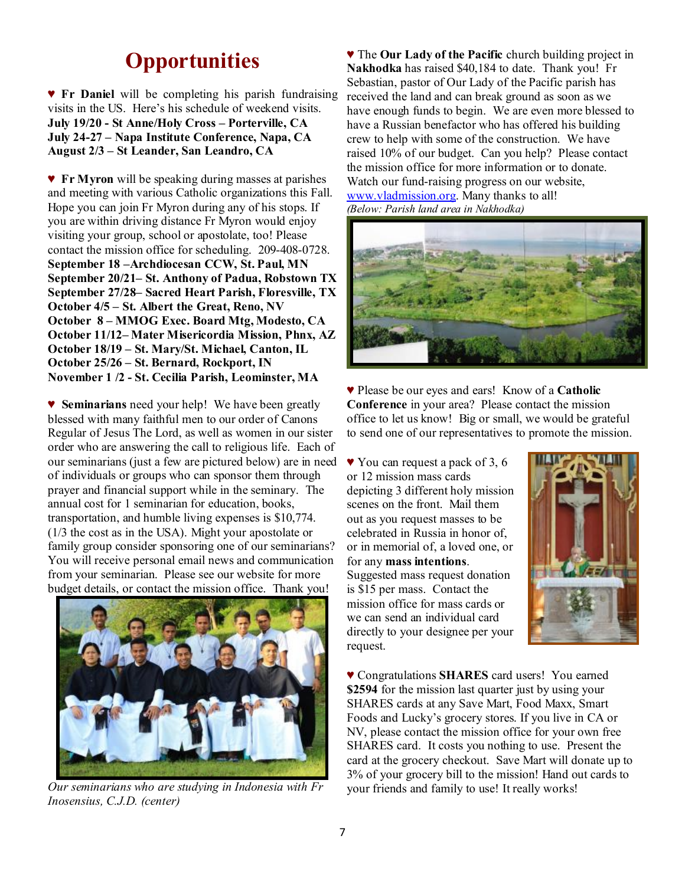## **Opportunities**

♥ **Fr Daniel** will be completing his parish fundraising visits in the US. Here's his schedule of weekend visits. **July 19/20 - St Anne/Holy Cross – Porterville, CA July 24-27 – Napa Institute Conference, Napa, CA August 2/3 – St Leander, San Leandro, CA** 

♥ **Fr Myron** will be speaking during masses at parishes and meeting with various Catholic organizations this Fall. Hope you can join Fr Myron during any of his stops. If you are within driving distance Fr Myron would enjoy visiting your group, school or apostolate, too! Please contact the mission office for scheduling. 209-408-0728. **September 18 –Archdiocesan CCW, St. Paul, MN September 20/21– St. Anthony of Padua, Robstown TX September 27/28– Sacred Heart Parish, Floresville, TX October 4/5 – St. Albert the Great, Reno, NV October 8 – MMOG Exec. Board Mtg, Modesto, CA October 11/12– Mater Misericordia Mission, Phnx, AZ October 18/19 – St. Mary/St. Michael, Canton, IL October 25/26 – St. Bernard, Rockport, IN November 1 /2 - St. Cecilia Parish, Leominster, MA** 

♥ **Seminarians** need your help! We have been greatly blessed with many faithful men to our order of Canons Regular of Jesus The Lord, as well as women in our sister order who are answering the call to religious life. Each of our seminarians (just a few are pictured below) are in need of individuals or groups who can sponsor them through prayer and financial support while in the seminary. The annual cost for 1 seminarian for education, books, transportation, and humble living expenses is \$10,774. (1/3 the cost as in the USA). Might your apostolate or family group consider sponsoring one of our seminarians? You will receive personal email news and communication from your seminarian. Please see our website for more budget details, or contact the mission office. Thank you!



*Our seminarians who are studying in Indonesia with Fr Inosensius, C.J.D. (center)* 

♥ The **Our Lady of the Pacific** church building project in **Nakhodka** has raised \$40,184 to date. Thank you! Fr Sebastian, pastor of Our Lady of the Pacific parish has received the land and can break ground as soon as we have enough funds to begin. We are even more blessed to have a Russian benefactor who has offered his building crew to help with some of the construction. We have raised 10% of our budget. Can you help? Please contact the mission office for more information or to donate. Watch our fund-raising progress on our website, [www.vladmission.org.](http://www.vladmission.org) Many thanks to all! *(Below: Parish land area in Nakhodka)* 



♥ Please be our eyes and ears! Know of a **Catholic Conference** in your area? Please contact the mission office to let us know! Big or small, we would be grateful to send one of our representatives to promote the mission.

♥ You can request a pack of 3, 6 or 12 mission mass cards depicting 3 different holy mission scenes on the front. Mail them out as you request masses to be celebrated in Russia in honor of, or in memorial of, a loved one, or for any **mass intentions**. Suggested mass request donation is \$15 per mass. Contact the mission office for mass cards or we can send an individual card directly to your designee per your request.



♥ Congratulations **SHARES** card users! You earned **\$2594** for the mission last quarter just by using your SHARES cards at any Save Mart, Food Maxx, Smart Foods and Lucky's grocery stores. If you live in CA or NV, please contact the mission office for your own free SHARES card. It costs you nothing to use. Present the card at the grocery checkout. Save Mart will donate up to 3% of your grocery bill to the mission! Hand out cards to your friends and family to use! It really works!